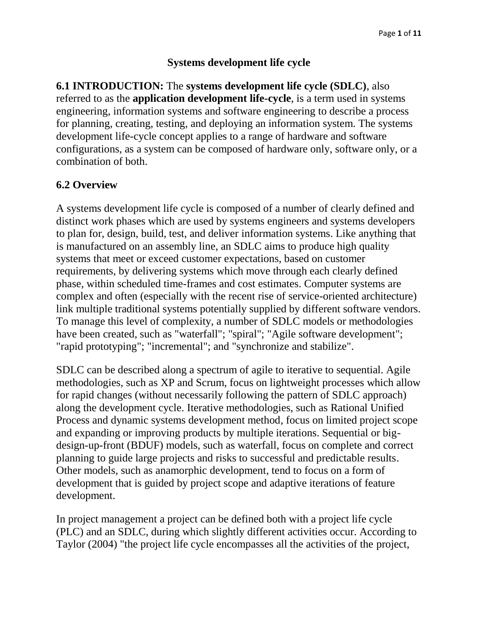#### **Systems development life cycle**

**6.1 INTRODUCTION:** The **systems development life cycle (SDLC)**, also referred to as the **application development life-cycle**, is a term used in [systems](http://en.wikipedia.org/wiki/Systems_engineering)  [engineering,](http://en.wikipedia.org/wiki/Systems_engineering) [information systems](http://en.wikipedia.org/wiki/Information_systems) and [software engineering](http://en.wikipedia.org/wiki/Software_engineering) to describe a process for planning, creating, testing, and deploying an information system. The systems development life-cycle concept applies to a range of hardware and software configurations, as a system can be composed of hardware only, software only, or a combination of both.

#### **6.2 Overview**

A systems development life cycle is composed of a number of clearly defined and distinct work phases which are used by systems engineers and systems developers to plan for, design, build, test, and deliver [information systems.](http://en.wikipedia.org/wiki/Information_system) Like anything that is manufactured on an assembly line, an SDLC aims to produce high quality systems that meet or exceed customer expectations, based on customer requirements, by delivering systems which move through each clearly defined phase, within scheduled time-frames and cost estimates. Computer systems are complex and often (especially with the recent rise of [service-oriented architecture\)](http://en.wikipedia.org/wiki/Service-oriented_architecture) link multiple traditional systems potentially supplied by different software vendors. To manage this level of complexity, a number of SDLC models or methodologies have been created, such as ["waterfall"](http://en.wikipedia.org/wiki/Waterfall_model); ["spiral"](http://en.wikipedia.org/wiki/Spiral_model); ["Agile software development"](http://en.wikipedia.org/wiki/Agile_software_development); ["rapid prototyping"](http://en.wikipedia.org/wiki/Software_prototyping#Throwaway_prototyping); ["incremental"](http://en.wikipedia.org/wiki/Incremental_development); and "synchronize and stabilize".

SDLC can be described along a spectrum of agile to iterative to sequential. Agile methodologies, such as [XP](http://en.wikipedia.org/wiki/Extreme_Programming) and [Scrum,](http://en.wikipedia.org/wiki/Scrum_(development)) focus on lightweight processes which allow for rapid changes (without necessarily following the pattern of SDLC approach) along the development cycle. [Iterative](http://en.wikipedia.org/wiki/Iterative_and_incremental_development) methodologies, such as [Rational Unified](http://en.wikipedia.org/wiki/Rational_Unified_Process)  [Process](http://en.wikipedia.org/wiki/Rational_Unified_Process) and [dynamic systems development method,](http://en.wikipedia.org/wiki/Dynamic_systems_development_method) focus on limited project scope and expanding or improving products by multiple iterations. Sequential or bigdesign-up-front (BDUF) models, such as waterfall, focus on complete and correct planning to guide large projects and risks to successful and predictable results. Other models, such as [anamorphic development,](http://en.wikipedia.org/wiki/Anamorphic_development) tend to focus on a form of development that is guided by project scope and adaptive iterations of feature development.

In [project management](http://en.wikipedia.org/wiki/Project_management) a project can be defined both with a [project life cycle](http://en.wikipedia.org/wiki/Project_life_cycle) (PLC) and an SDLC, during which slightly different activities occur. According to Taylor (2004) "the project life cycle encompasses all the activities of the [project,](http://en.wikipedia.org/wiki/Project)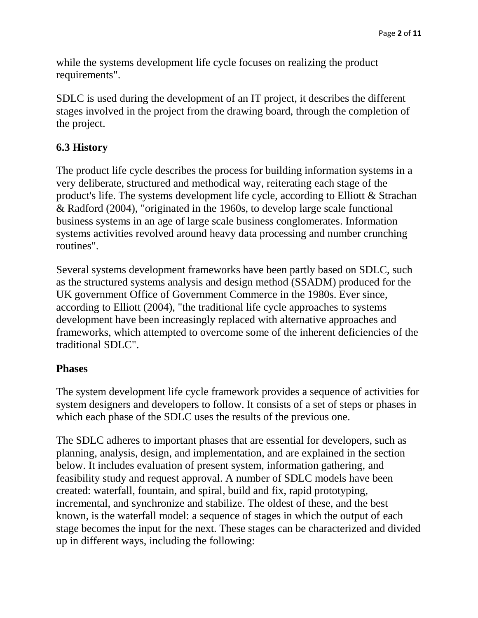while the systems development life cycle focuses on realizing the product [requirements"](http://en.wikipedia.org/wiki/Requirement).

SDLC is used during the development of an IT project, it describes the different stages involved in the project from the drawing board, through the completion of the project.

# **6.3 History**

The [product life cycle](http://en.wikipedia.org/wiki/Product_life_cycle_(engineering)) describes the process for building information systems in a very deliberate, structured and methodical way, reiterating each stage of the product's life. The systems development life cycle, according to Elliott & Strachan & Radford (2004), "originated in the 1960s, to develop large scale functional [business systems](http://en.wikipedia.org/wiki/Business_systems) in an age of large scale [business conglomerates.](http://en.wikipedia.org/wiki/Business_conglomerate) Information systems activities revolved around heavy [data processing](http://en.wikipedia.org/wiki/Data_processing) and [number crunching](http://en.wikipedia.org/wiki/Number_crunching) routines".

Several systems development frameworks have been partly based on SDLC, such as the [structured systems analysis and design method](http://en.wikipedia.org/wiki/Structured_systems_analysis_and_design_method) (SSADM) produced for the UK government [Office of Government Commerce](http://en.wikipedia.org/wiki/Office_of_Government_Commerce) in the 1980s. Ever since, according to Elliott (2004), "the traditional life cycle approaches to systems development have been increasingly replaced with alternative approaches and frameworks, which attempted to overcome some of the inherent deficiencies of the traditional SDLC".

## **Phases**

The system development life cycle framework provides a sequence of activities for system designers and developers to follow. It consists of a set of steps or phases in which each phase of the SDLC uses the results of the previous one.

The SDLC adheres to important phases that are essential for developers, such as [planning,](http://en.wikipedia.org/wiki/Planning) [analysis,](http://en.wikipedia.org/wiki/Analysis) [design,](http://en.wikipedia.org/wiki/Design) and [implementation,](http://en.wikipedia.org/wiki/Implementation) and are explained in the section below. It includes evaluation of present system, information gathering, and feasibility study and request approval. A number of SDLC models have been created: waterfall, fountain, and spiral, build and fix, rapid prototyping, incremental, and synchronize and stabilize. The oldest of these, and the best known, is the waterfall model: a sequence of stages in which the output of each stage becomes the input for the next. These stages can be characterized and divided up in different ways, including the following: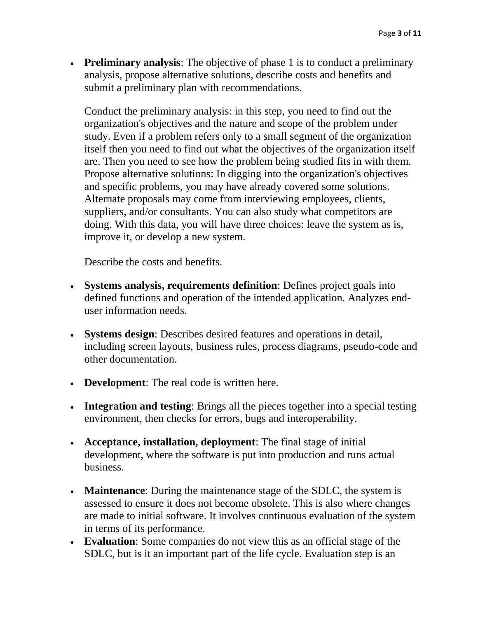• **Preliminary analysis:** The objective of phase 1 is to conduct a preliminary analysis, propose alternative solutions, describe costs and benefits and submit a preliminary plan with recommendations.

Conduct the preliminary analysis: in this step, you need to find out the organization's objectives and the nature and scope of the problem under study. Even if a problem refers only to a small segment of the organization itself then you need to find out what the objectives of the organization itself are. Then you need to see how the problem being studied fits in with them. Propose alternative solutions: In digging into the organization's objectives and specific problems, you may have already covered some solutions. Alternate proposals may come from interviewing employees, clients, suppliers, and/or consultants. You can also study what competitors are doing. With this data, you will have three choices: leave the system as is, improve it, or develop a new system.

Describe the costs and benefits.

- **Systems analysis, requirements definition**: Defines project goals into defined functions and operation of the intended application. Analyzes enduser information needs.
- **Systems design**: Describes desired features and operations in detail, including screen layouts, [business rules,](http://en.wikipedia.org/wiki/Business_rule) [process diagrams,](http://en.wikipedia.org/wiki/Process_Diagram) [pseudo-code](http://en.wikipedia.org/wiki/Pseudocode) and other documentation.
- **Development**: The real code is written here.
- **Integration and testing**: Brings all the pieces together into a special testing environment, then checks for errors, bugs and interoperability.
- **Acceptance, installation, deployment**: The final stage of initial development, where the software is put into production and runs actual business.
- **Maintenance**: During the maintenance stage of the SDLC, the system is assessed to ensure it does not become obsolete. This is also where changes are made to initial software. It involves continuous evaluation of the system in terms of its performance.
- **Evaluation**: Some companies do not view this as an official stage of the SDLC, but is it an important part of the life cycle. Evaluation step is an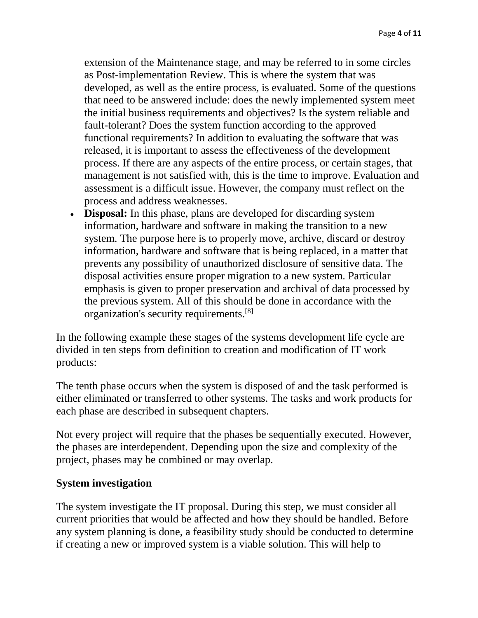extension of the Maintenance stage, and may be referred to in some circles as Post-implementation Review. This is where the system that was developed, as well as the entire process, is evaluated. Some of the questions that need to be answered include: does the newly implemented system meet the initial business requirements and objectives? Is the system reliable and fault-tolerant? Does the system function according to the approved functional requirements? In addition to evaluating the software that was released, it is important to assess the effectiveness of the development process. If there are any aspects of the entire process, or certain stages, that management is not satisfied with, this is the time to improve. Evaluation and assessment is a difficult issue. However, the company must reflect on the process and address weaknesses.

• **Disposal:** In this phase, plans are developed for discarding system information, hardware and software in making the transition to a new system. The purpose here is to properly move, archive, discard or destroy information, hardware and software that is being replaced, in a matter that prevents any possibility of unauthorized disclosure of sensitive data. The disposal activities ensure proper migration to a new system. Particular emphasis is given to proper preservation and archival of data processed by the previous system. All of this should be done in accordance with the organization's security requirements.[\[8\]](http://en.wikipedia.org/wiki/Systems_development_life_cycle#cite_note-8)

In the following example these stages of the systems development life cycle are divided in ten steps from definition to creation and modification of IT work products:

The tenth phase occurs when the system is disposed of and the task performed is either eliminated or transferred to other systems. The tasks and work products for each phase are described in subsequent chapters.

Not every project will require that the phases be sequentially executed. However, the phases are interdependent. Depending upon the size and complexity of the project, phases may be combined or may overlap.

## **System investigation**

The system investigate the IT proposal. During this step, we must consider all current priorities that would be affected and how they should be handled. Before any system planning is done, a [feasibility study](http://en.wikipedia.org/wiki/Feasibility_study) should be conducted to determine if creating a new or improved system is a viable solution. This will help to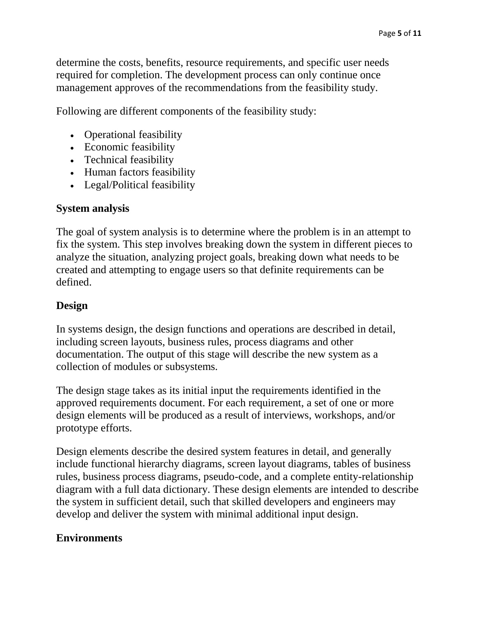determine the costs, benefits, resource requirements, and specific user needs required for completion. The development process can only continue once management approves of the recommendations from the feasibility study.

Following are different components of the feasibility study:

- [Operational feasibility](http://en.wikipedia.org/wiki/Feasibility_study#Operational_feasibility)
- [Economic feasibility](http://en.wikipedia.org/wiki/Feasibility_study#Economic_Feasibility)
- [Technical feasibility](http://en.wikipedia.org/wiki/Feasibility_study#Technical_Feasibility)
- Human factors feasibility
- [Legal/Political feasibility](http://en.wikipedia.org/wiki/Feasibility_study#Legal_feasibility)

## **System analysis**

The goal of [system analysis](http://en.wikipedia.org/wiki/Systems_analysis) is to determine where the problem is in an attempt to fix the system. This step involves [breaking down](http://en.wikipedia.org/wiki/Work_breakdown_structure) the system in different pieces to analyze the situation, analyzing project goals, breaking down what needs to be created and attempting to engage users so that definite requirements can be defined.

# **Design**

In [systems design,](http://en.wikipedia.org/wiki/Systems_design) the design functions and operations are described in detail, including screen layouts, business rules, process diagrams and other documentation. The output of this stage will describe the new system as a collection of modules or subsystems.

The design stage takes as its initial input the requirements identified in the approved requirements document. For each requirement, a set of one or more design elements will be produced as a result of interviews, workshops, and/or prototype efforts.

Design elements describe the desired system features in detail, and generally include functional hierarchy diagrams, screen layout diagrams, tables of business rules, business process diagrams, pseudo-code, and a complete entity-relationship diagram with a full data dictionary. These design elements are intended to describe the system in sufficient detail, such that skilled developers and engineers may develop and deliver the system with minimal additional input design.

# **Environments**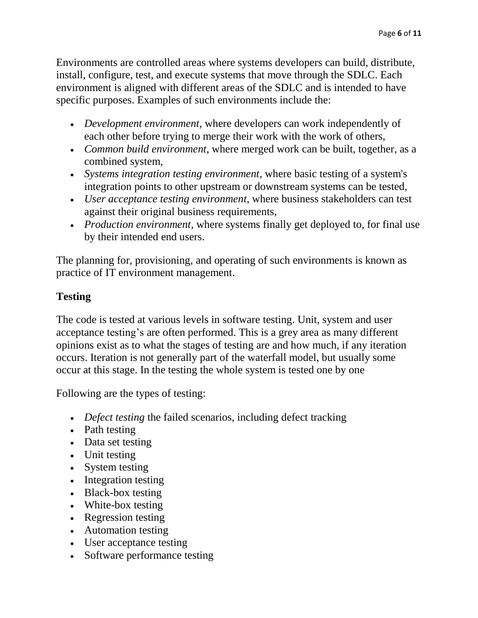Environments are controlled areas where systems developers can build, distribute, install, configure, test, and execute systems that move through the SDLC. Each environment is aligned with different areas of the SDLC and is intended to have specific purposes. Examples of such environments include the:

- *Development environment*, where developers can work independently of each other before trying to merge their work with the work of others,
- *Common build environment*, where merged work can be built, together, as a combined system,
- *Systems integration testing environment*, where basic testing of a system's integration points to other upstream or downstream systems can be tested,
- *User acceptance testing environment*, where business stakeholders can test against their original business requirements,
- *Production environment*, where systems finally get deployed to, for final use by their intended end users.

The planning for, provisioning, and operating of such environments is known as practice of [IT environment management.](http://en.wikipedia.org/w/index.php?title=IT_environment_management&action=edit&redlink=1)

# **Testing**

The code is tested at various levels in [software testing.](http://en.wikipedia.org/wiki/Software_testing) Unit, system and user acceptance testing's are often performed. This is a grey area as many different opinions exist as to what the stages of testing are and how much, if any iteration occurs. Iteration is not generally part of the waterfall model, but usually some occur at this stage. In the testing the whole system is tested one by one

Following are the types of testing:

- *Defect testing* the failed scenarios, including [defect tracking](http://en.wikipedia.org/wiki/Defect_tracking)
- [Path testing](http://en.wikipedia.org/wiki/Model-based_testing)
- [Data set testing](http://en.wikipedia.org/wiki/Test_data)
- [Unit testing](http://en.wikipedia.org/wiki/Unit_testing)
- [System testing](http://en.wikipedia.org/wiki/System_testing)
- [Integration testing](http://en.wikipedia.org/wiki/Integration_testing)
- [Black-box testing](http://en.wikipedia.org/wiki/Black-box_testing)
- [White-box testing](http://en.wikipedia.org/wiki/White-box_testing)
- [Regression testing](http://en.wikipedia.org/wiki/Regression_testing)
- [Automation testing](http://en.wikipedia.org/wiki/Automation_testing)
- [User acceptance testing](http://en.wikipedia.org/wiki/User_acceptance_testing)
- [Software performance testing](http://en.wikipedia.org/wiki/Software_performance_testing)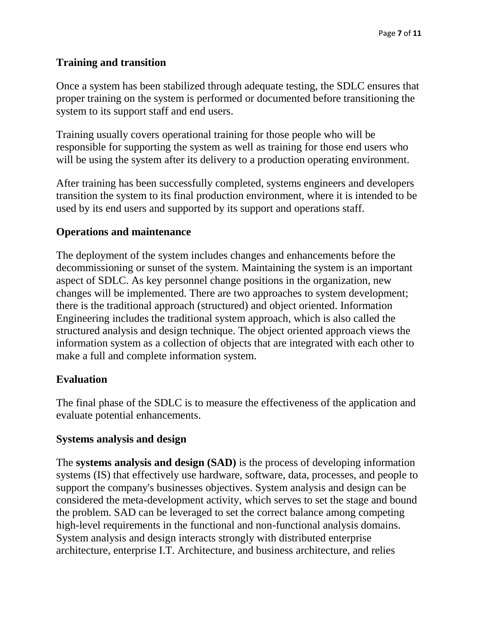## **Training and transition**

Once a system has been stabilized through adequate testing, the SDLC ensures that proper training on the system is performed or documented before transitioning the system to its support staff and end users.

Training usually covers operational training for those people who will be responsible for supporting the system as well as training for those end users who will be using the system after its delivery to a production operating environment.

After training has been successfully completed, systems engineers and developers transition the system to its final production environment, where it is intended to be used by its end users and supported by its support and operations staff.

## **Operations and maintenance**

The [deployment](http://en.wikipedia.org/wiki/Software_deployment) of the system includes changes and enhancements before the decommissioning or sunset of the system. [Maintaining](http://en.wikipedia.org/wiki/Software_maintenance) the system is an important aspect of SDLC. As key personnel change positions in the organization, new changes will be implemented. There are two approaches to system development; there is the traditional approach (structured) and [object oriented.](http://en.wikipedia.org/wiki/Object_oriented) Information Engineering includes the traditional system approach, which is also called the structured analysis and design technique. The object oriented approach views the information system as a collection of objects that are integrated with each other to make a full and complete information system.

## **Evaluation**

The final phase of the SDLC is to measure the effectiveness of the application and evaluate potential enhancements.

#### **Systems analysis and design**

The **systems analysis and design (SAD)** is the process of developing information systems (IS) that effectively use hardware, software, data, processes, and people to support the company's businesses objectives. System analysis and design can be considered the meta-development activity, which serves to set the stage and bound the problem. SAD can be leveraged to set the correct balance among competing high-level requirements in the functional and non-functional analysis domains. System analysis and design interacts strongly with distributed enterprise architecture, enterprise I.T. Architecture, and business architecture, and relies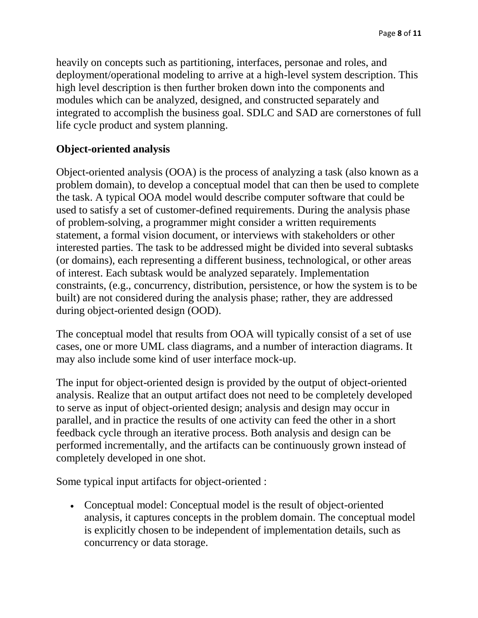heavily on concepts such as partitioning, interfaces, personae and roles, and deployment/operational modeling to arrive at a high-level system description. This high level description is then further broken down into the components and modules which can be analyzed, designed, and constructed separately and integrated to accomplish the business goal. SDLC and SAD are cornerstones of full life cycle product and system planning.

## **Object-oriented analysis**

Object-oriented analysis (OOA) is the process of analyzing a task (also known as a [problem domain\)](http://en.wikipedia.org/wiki/Problem_domain), to develop a conceptual model that can then be used to complete the task. A typical OOA model would describe computer software that could be used to satisfy a set of customer-defined requirements. During the analysis phase of problem-solving, a programmer might consider a written requirements statement, a formal vision document, or interviews with stakeholders or other interested parties. The task to be addressed might be divided into several subtasks (or domains), each representing a different business, technological, or other areas of interest. Each subtask would be analyzed separately. Implementation constraints, (e.g., [concurrency,](http://en.wikipedia.org/wiki/Concurrency_(computer_science)) [distribution,](http://en.wikipedia.org/wiki/Distributed_computing) [persistence,](http://en.wikipedia.org/wiki/Persistence_(computer_science)) or how the system is to be built) are not considered during the analysis phase; rather, they are addressed during object-oriented design (OOD).

The conceptual model that results from OOA will typically consist of a set of [use](http://en.wikipedia.org/wiki/Use_cases)  [cases,](http://en.wikipedia.org/wiki/Use_cases) one or more [UML](http://en.wikipedia.org/wiki/Unified_Modeling_Language) [class diagrams,](http://en.wikipedia.org/wiki/Class_diagram) and a number of [interaction diagrams.](http://en.wikipedia.org/wiki/Interaction_diagram) It may also include some kind of [user interface](http://en.wikipedia.org/wiki/User_interface) mock-up.

The input for object-oriented design is provided by the output of [object-oriented](http://en.wikipedia.org/wiki/Object-oriented_analysis)  [analysis.](http://en.wikipedia.org/wiki/Object-oriented_analysis) Realize that an output artifact does not need to be completely developed to serve as input of object-oriented design; analysis and design may occur in parallel, and in practice the results of one activity can feed the other in a short feedback cycle through an iterative process. Both analysis and design can be performed incrementally, and the artifacts can be continuously grown instead of completely developed in one shot.

Some typical input artifacts for object-oriented :

 [Conceptual model:](http://en.wikipedia.org/wiki/Conceptual_model_(computer_science)) Conceptual model is the result of object-oriented analysis, it captures concepts in the problem domain. The conceptual model is explicitly chosen to be independent of implementation details, such as concurrency or data storage.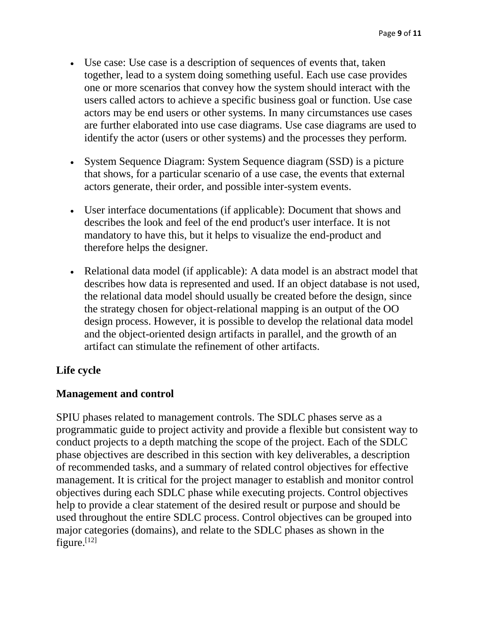- [Use case:](http://en.wikipedia.org/wiki/Use_case) Use case is a description of sequences of events that, taken together, lead to a system doing something useful. Each use case provides one or more [scenarios](http://en.wikipedia.org/wiki/Scenario_(computing)) that convey how the system should interact with the users called actors to achieve a specific business goal or function. Use case actors may be end users or other systems. In many circumstances use cases are further elaborated into use case diagrams. Use case diagrams are used to identify the actor (users or other systems) and the processes they perform.
- [System Sequence Diagram:](http://en.wikipedia.org/wiki/System_Sequence_Diagram) System Sequence diagram (SSD) is a picture that shows, for a particular scenario of a use case, the events that external actors generate, their order, and possible inter-system events.
- User interface documentations (if applicable): Document that shows and describes the [look and feel](http://en.wikipedia.org/wiki/Look_and_feel) of the end product's user interface. It is not mandatory to have this, but it helps to visualize the end-product and therefore helps the designer.
- [Relational data model](http://en.wikipedia.org/wiki/Relational_data_model) (if applicable): A data model is an abstract model that describes how data is represented and used. If an [object database](http://en.wikipedia.org/wiki/Object_database) is not used, the relational data model should usually be created before the design, since the strategy chosen for [object-relational mapping](http://en.wikipedia.org/wiki/Object-relational_mapping) is an output of the OO design process. However, it is possible to develop the relational data model and the object-oriented design artifacts in parallel, and the growth of an artifact can stimulate the refinement of other artifacts.

# **Life cycle**

# **Management and control**

SPIU phases related to management controls. The SDLC phases serve as a programmatic guide to project activity and provide a flexible but consistent way to conduct projects to a depth matching the scope of the project. Each of the SDLC phase objectives are described in this section with key deliverables, a description of recommended tasks, and a summary of related control objectives for effective management. It is critical for the project manager to establish and monitor control objectives during each SDLC phase while executing projects. Control objectives help to provide a clear statement of the desired result or purpose and should be used throughout the entire SDLC process. Control objectives can be grouped into major categories (domains), and relate to the SDLC phases as shown in the figure.<sup>[\[12\]](http://en.wikipedia.org/wiki/Systems_development_life_cycle#cite_note-USHR99-12)</sup>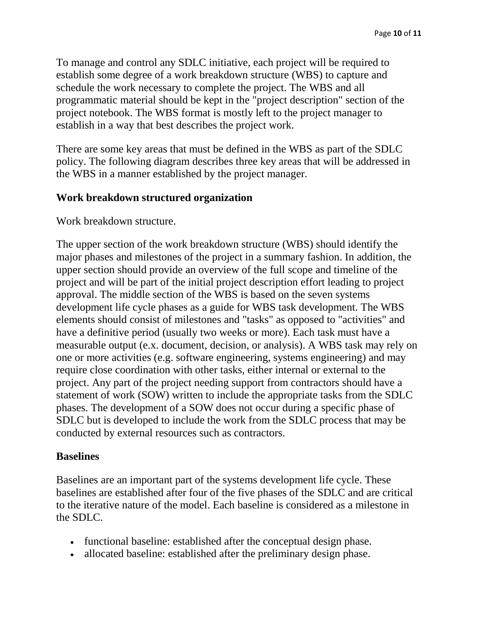To manage and control any SDLC initiative, each project will be required to establish some degree of a [work breakdown structure](http://en.wikipedia.org/wiki/Work_breakdown_structure) (WBS) to capture and schedule the work necessary to complete the project. The WBS and all programmatic material should be kept in the "project description" section of the project notebook. The WBS format is mostly left to the project manager to establish in a way that best describes the project work.

There are some key areas that must be defined in the WBS as part of the SDLC policy. The following diagram describes three key areas that will be addressed in the WBS in a manner established by the project manager.

#### **Work breakdown structured organization**

Work breakdown structure.

The upper section of the work breakdown structure (WBS) should identify the major phases and milestones of the project in a summary fashion. In addition, the upper section should provide an overview of the full scope and timeline of the project and will be part of the initial project description effort leading to project approval. The middle section of the WBS is based on the seven systems development life cycle phases as a guide for WBS task development. The WBS elements should consist of milestones and "tasks" as opposed to "activities" and have a definitive period (usually two weeks or more). Each task must have a measurable output (e.x. document, decision, or analysis). A WBS task may rely on one or more activities (e.g. software engineering, systems engineering) and may require close coordination with other tasks, either internal or external to the project. Any part of the project needing support from contractors should have a [statement of work](http://en.wikipedia.org/wiki/Statement_of_work) (SOW) written to include the appropriate tasks from the SDLC phases. The development of a SOW does not occur during a specific phase of SDLC but is developed to include the work from the SDLC process that may be conducted by external resources such as contractors.

## **Baselines**

Baselines are an important part of the systems development life cycle. These baselines are established after four of the five phases of the SDLC and are critical to the iterative nature of the model. Each baseline is considered as a milestone in the SDLC.

- functional baseline: established after the conceptual design phase.
- allocated baseline: established after the preliminary design phase.